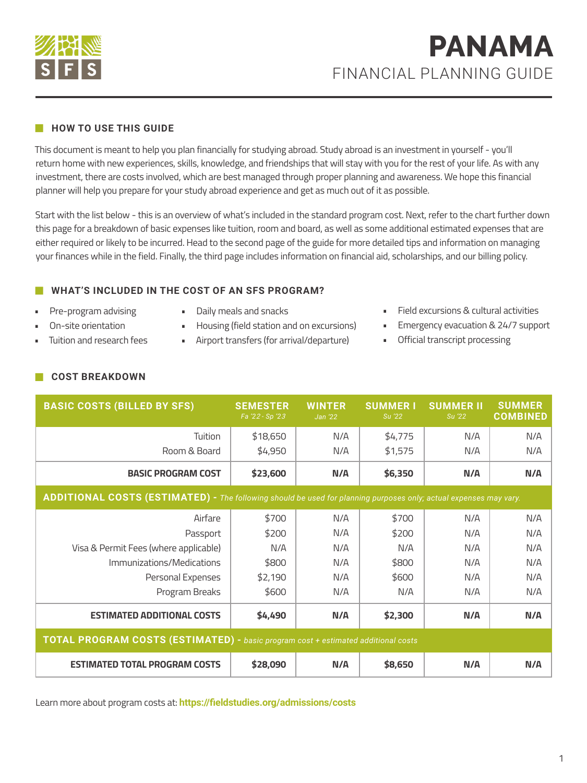

#### **HOW TO USE THIS GUIDE**

This document is meant to help you plan financially for studying abroad. Study abroad is an investment in yourself - you'll return home with new experiences, skills, knowledge, and friendships that will stay with you for the rest of your life. As with any investment, there are costs involved, which are best managed through proper planning and awareness. We hope this financial planner will help you prepare for your study abroad experience and get as much out of it as possible.

Start with the list below - this is an overview of what's included in the standard program cost. Next, refer to the chart further down this page for a breakdown of basic expenses like tuition, room and board, as well as some additional estimated expenses that are either required or likely to be incurred. Head to the second page of the guide for more detailed tips and information on managing your finances while in the field. Finally, the third page includes information on financial aid, scholarships, and our billing policy.

### **WHAT'S INCLUDED IN THE COST OF AN SFS PROGRAM?**

- Pre-program advising • On-site orientation
- Daily meals and snacks
- Housing (field station and on excursions)
- Airport transfers (for arrival/departure)
- Field excursions & cultural activities
- **Emergency evacuation & 24/7 support**
- Official transcript processing

**COST BREAKDOWN**

• Tuition and research fees

| <b>BASIC COSTS (BILLED BY SFS)</b>                                                                                | <b>SEMESTER</b><br>Fa '22 - Sp '23 | <b>WINTER</b><br>Jan '22 | <b>SUMMER I</b><br>Su '22 | <b>SUMMER II</b><br>Su '22 | <b>SUMMER</b><br><b>COMBINED</b> |  |
|-------------------------------------------------------------------------------------------------------------------|------------------------------------|--------------------------|---------------------------|----------------------------|----------------------------------|--|
| Tuition                                                                                                           | \$18,650                           | N/A                      | \$4,775                   | N/A                        | N/A                              |  |
| Room & Board                                                                                                      | \$4,950                            | N/A                      | \$1,575                   | N/A                        | N/A                              |  |
| <b>BASIC PROGRAM COST</b>                                                                                         | \$23,600                           | N/A                      | \$6,350                   | N/A                        | N/A                              |  |
| ADDITIONAL COSTS (ESTIMATED) - The following should be used for planning purposes only; actual expenses may vary. |                                    |                          |                           |                            |                                  |  |
| Airfare                                                                                                           | \$700                              | N/A                      | \$700                     | N/A                        | N/A                              |  |
| Passport                                                                                                          | \$200                              | N/A                      | \$200                     | N/A                        | N/A                              |  |
| Visa & Permit Fees (where applicable)                                                                             | N/A                                | N/A                      | N/A                       | N/A                        | N/A                              |  |
| Immunizations/Medications                                                                                         | \$800                              | N/A                      | \$800                     | N/A                        | N/A                              |  |
| Personal Expenses                                                                                                 | \$2,190                            | N/A                      | \$600                     | N/A                        | N/A                              |  |
| Program Breaks                                                                                                    | \$600                              | N/A                      | N/A                       | N/A                        | N/A                              |  |
| <b>ESTIMATED ADDITIONAL COSTS</b>                                                                                 | \$4,490                            | N/A                      | \$2,300                   | N/A                        | N/A                              |  |
| <b>TOTAL PROGRAM COSTS (ESTIMATED)</b> - basic program cost + estimated additional costs                          |                                    |                          |                           |                            |                                  |  |
| <b>ESTIMATED TOTAL PROGRAM COSTS</b>                                                                              | \$28,090                           | N/A                      | \$8,650                   | N/A                        | N/A                              |  |

Learn more about program costs at: **https://fieldstudies.org/admissions/costs**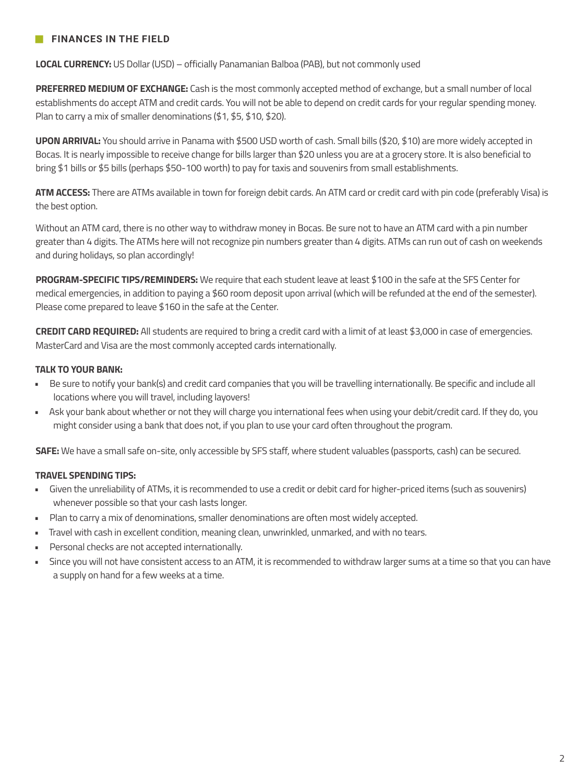## **FINANCES IN THE FIELD**

**LOCAL CURRENCY:** US Dollar (USD) – officially Panamanian Balboa (PAB), but not commonly used

**PREFERRED MEDIUM OF EXCHANGE:** Cash is the most commonly accepted method of exchange, but a small number of local establishments do accept ATM and credit cards. You will not be able to depend on credit cards for your regular spending money. Plan to carry a mix of smaller denominations (\$1, \$5, \$10, \$20).

**UPON ARRIVAL:** You should arrive in Panama with \$500 USD worth of cash. Small bills (\$20, \$10) are more widely accepted in Bocas. It is nearly impossible to receive change for bills larger than \$20 unless you are at a grocery store. It is also beneficial to bring \$1 bills or \$5 bills (perhaps \$50-100 worth) to pay for taxis and souvenirs from small establishments.

**ATM ACCESS:** There are ATMs available in town for foreign debit cards. An ATM card or credit card with pin code (preferably Visa) is the best option.

Without an ATM card, there is no other way to withdraw money in Bocas. Be sure not to have an ATM card with a pin number greater than 4 digits. The ATMs here will not recognize pin numbers greater than 4 digits. ATMs can run out of cash on weekends and during holidays, so plan accordingly!

**PROGRAM-SPECIFIC TIPS/REMINDERS:** We require that each student leave at least \$100 in the safe at the SFS Center for medical emergencies, in addition to paying a \$60 room deposit upon arrival (which will be refunded at the end of the semester). Please come prepared to leave \$160 in the safe at the Center.

**CREDIT CARD REQUIRED:** All students are required to bring a credit card with a limit of at least \$3,000 in case of emergencies. MasterCard and Visa are the most commonly accepted cards internationally.

#### **TALK TO YOUR BANK:**

- Be sure to notify your bank(s) and credit card companies that you will be travelling internationally. Be specific and include all locations where you will travel, including layovers!
- Ask your bank about whether or not they will charge you international fees when using your debit/credit card. If they do, you might consider using a bank that does not, if you plan to use your card often throughout the program.

**SAFE:** We have a small safe on-site, only accessible by SFS staff, where student valuables (passports, cash) can be secured.

#### **TRAVEL SPENDING TIPS:**

- Given the unreliability of ATMs, it is recommended to use a credit or debit card for higher-priced items (such as souvenirs) whenever possible so that your cash lasts longer.
- Plan to carry a mix of denominations, smaller denominations are often most widely accepted.
- Travel with cash in excellent condition, meaning clean, unwrinkled, unmarked, and with no tears.
- Personal checks are not accepted internationally.
- Since you will not have consistent access to an ATM, it is recommended to withdraw larger sums at a time so that you can have a supply on hand for a few weeks at a time.